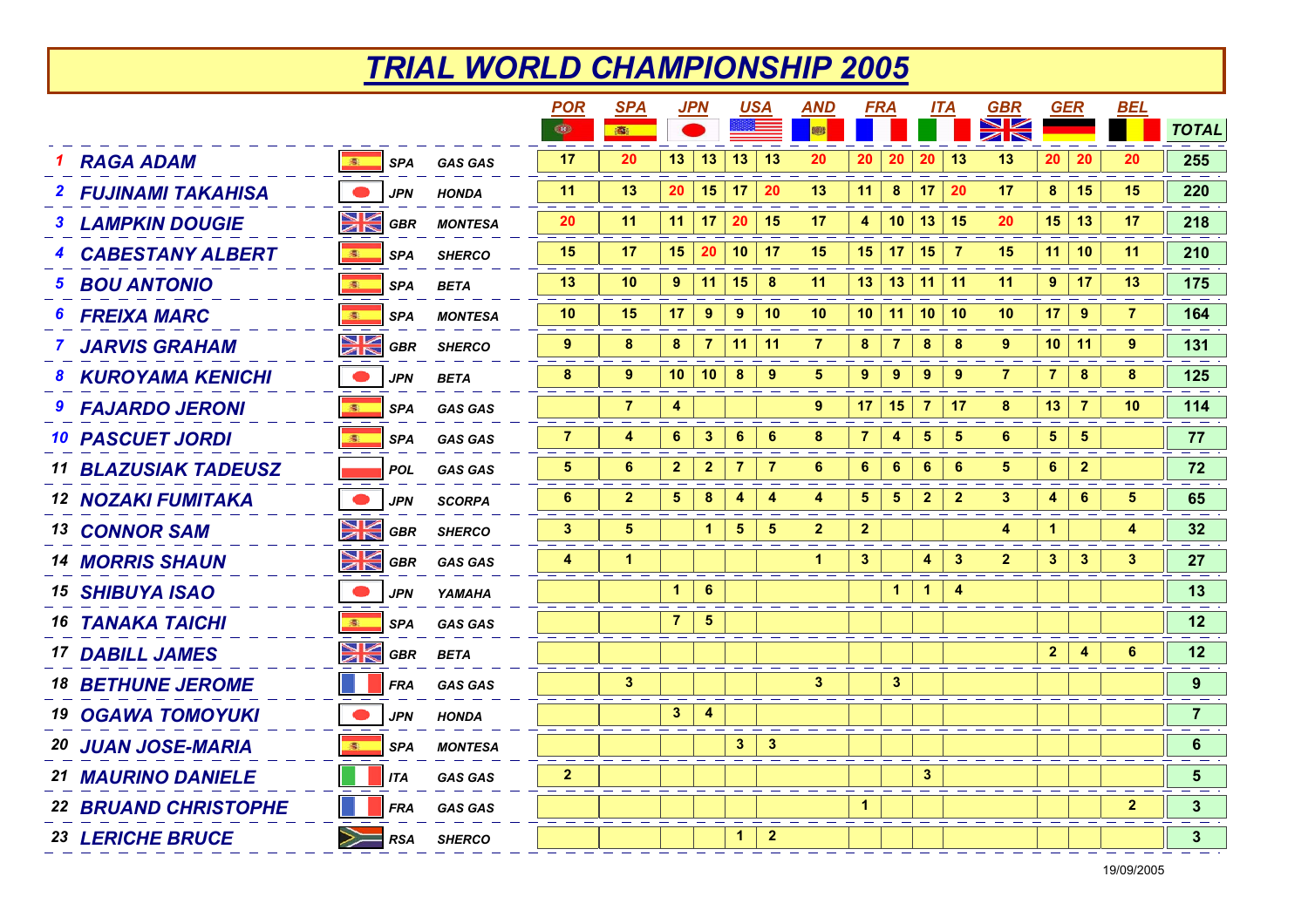## *TRIAL WORLD CHAMPIONSHIP 2005*

|                                    |            |                | <b>POR</b>      | <u>SPA</u>              |                 | <u>JPN</u>              | <b>USA</b>      |                 | <b>AND</b>     | <b>FRA</b>              |                 | ITA                     |                 | <b>GBR</b>            | <b>GER</b>     |                | <b>BEL</b>     |                |
|------------------------------------|------------|----------------|-----------------|-------------------------|-----------------|-------------------------|-----------------|-----------------|----------------|-------------------------|-----------------|-------------------------|-----------------|-----------------------|----------------|----------------|----------------|----------------|
|                                    |            |                | $\bigcirc$      | 露                       |                 |                         |                 |                 | 體              |                         |                 |                         |                 | $\blacktriangleright$ |                |                |                | <b>TOTAL</b>   |
| <b>RAGA ADAM</b><br>濠              | <b>SPA</b> | <b>GAS GAS</b> | 17              | 20                      | 13 <sup>°</sup> | 13                      | 13              | 13              | 20             | 20                      | 20              | 20                      | 13              | 13                    | 20             | 20             | 20             | 255            |
| <b>2 FUJINAMI TAKAHISA</b>         | <b>JPN</b> | <b>HONDA</b>   | 11              | 13                      | 20              | 15                      | 17              | 20              | 13             | 11                      | 8               | 17                      | 20              | 17                    | 8              | 15             | 15             | 220            |
| <u>Nk</u><br><b>LAMPKIN DOUGIE</b> | GBR        | <b>MONTESA</b> | 20              | 11                      | 11 <sup>1</sup> | 17                      | 20              | -15             | 17             | 4                       | 10 <sup>1</sup> | 13 15                   |                 | 20                    | 15             | 13             | 17             | 218            |
| <b>CABESTANY ALBERT</b><br>濠       | <b>SPA</b> | <b>SHERCO</b>  | 15              | 17                      | 15 <sub>1</sub> | 20                      | 10 <sup>1</sup> | 17              | 15             |                         | $15$   17       | 15                      | - 7             | 15                    | 11             | 10             | 11             | 210            |
| <b>BOU ANTONIO</b><br>5.<br>漆      | <b>SPA</b> | <b>BETA</b>    | 13              | 10                      | 9               | 11                      | 15              | - 8             | 11             |                         | $13$   13       | 11                      | $\vert$ 11      | 11                    | 9              | 17             | 13             | 175            |
| <b>FREIXA MARC</b><br>6<br>漆       | <b>SPA</b> | <b>MONTESA</b> | 10 <sup>°</sup> | 15                      | 17              | 9                       | 9               | 10              | 10             |                         | $10$   11       | 10 10                   |                 | 10                    | 17             | 9              | $\overline{7}$ | 164            |
| NK<br>ZK<br><b>JARVIS GRAHAM</b>   | <b>GBR</b> | <b>SHERCO</b>  | $9^{\circ}$     | 8                       | 8               | $\overline{7}$          | 11              | 11              | $\overline{7}$ | 8                       | $\overline{7}$  | 8                       | 8               | 9                     | 10             | 11             | 9              | 131            |
| 8 KUROYAMA KENICHI                 | <b>JPN</b> | <b>BETA</b>    | 8               | 9                       | 10 <sub>1</sub> | 10                      | 8               | 9               | 5              | 9                       | 9               | 9                       | 9               | 7                     | $\overline{7}$ | 8              | 8              | 125            |
| <b>FAJARDO JERONI</b><br>图         | <b>SPA</b> | <b>GAS GAS</b> |                 | $\overline{7}$          | 4               |                         |                 |                 | 9              | 17                      | 15              | $\overline{7}$          | 17              | 8                     | 13             | $\overline{7}$ | 10             | 114            |
| <b>10 PASCUET JORDI</b><br>漆       | <b>SPA</b> | <b>GAS GAS</b> | $\overline{7}$  | 4                       | $6\phantom{a}$  | $\mathbf 3$             | $\bf 6$         | $6\phantom{1}6$ | 8              | 7                       | 4               | 5                       | $\sqrt{5}$      | $6\phantom{1}6$       | 5 <sub>5</sub> | 5              |                | 77             |
| <b>11 BLAZUSIAK TADEUSZ</b>        | <b>POL</b> | <b>GAS GAS</b> | $5\phantom{.0}$ | 6                       | $\overline{2}$  | $\overline{\mathbf{2}}$ | $\overline{7}$  | $\overline{7}$  | $6\phantom{1}$ | 6                       | $6\phantom{1}6$ | $6\phantom{1}6$         | $6\phantom{1}6$ | 5                     | $6\phantom{a}$ | $\overline{2}$ |                | 72             |
| <b>12 NOZAKI FUMITAKA</b>          | <b>JPN</b> | <b>SCORPA</b>  | 6               | $\mathbf{2}$            | $5\phantom{.0}$ | $\pmb{8}$               | 4               | 4               | 4              | $\overline{\mathbf{5}}$ | $5\phantom{.0}$ | $\overline{\mathbf{2}}$ | $\overline{2}$  | $\mathbf{3}$          | 4              | $6\phantom{1}$ | 5              | 65             |
| NK<br>7K<br><b>13 CONNOR SAM</b>   | GBR        | <b>SHERCO</b>  | 3               | 5                       |                 | 1                       | 5               | 5               | $\mathbf{2}$   | $\mathbf{2}$            |                 |                         |                 | 4                     | $\mathbf{1}$   |                | 4              | 32             |
| NK<br>M<br><b>14 MORRIS SHAUN</b>  | GBR        | <b>GAS GAS</b> | 4               | 1                       |                 |                         |                 |                 | 1              | $\mathbf{3}$            |                 | 4                       | 3               | $\mathbf{2}$          | $\mathbf{3}$   | $\mathbf{3}$   | 3              | 27             |
| <b>15 SHIBUYA ISAO</b>             | JPN        | YAMAHA         |                 |                         | 1               | 6                       |                 |                 |                |                         | 1               | 1                       |                 |                       |                |                |                | 13             |
| <b>16 TANAKA TAICHI</b><br>图       | <b>SPA</b> | <b>GAS GAS</b> |                 |                         | $\overline{7}$  | $\sqrt{5}$              |                 |                 |                |                         |                 |                         |                 |                       |                |                |                | 12             |
| N<br>ZN<br><b>17 DABILL JAMES</b>  | GBR        | <b>BETA</b>    |                 |                         |                 |                         |                 |                 |                |                         |                 |                         |                 |                       | $\mathbf{2}$   | 4              | 6              | 12             |
| <b>18 BETHUNE JEROME</b>           | <b>FRA</b> | <b>GAS GAS</b> |                 | $\overline{\mathbf{3}}$ |                 |                         |                 |                 | $\mathbf{3}$   |                         | $\mathbf{3}$    |                         |                 |                       |                |                |                | 9              |
| <b>19 OGAWA TOMOYUKI</b>           | <b>JPN</b> | <b>HONDA</b>   |                 |                         | $\mathbf{3}$    | $\overline{\mathbf{4}}$ |                 |                 |                |                         |                 |                         |                 |                       |                |                |                | $\overline{7}$ |
| <b>20 JUAN JOSE-MARIA</b><br>濠     | <b>SPA</b> | <b>MONTESA</b> |                 |                         |                 |                         | 3 <sup>2</sup>  | $\mathbf{3}$    |                |                         |                 |                         |                 |                       |                |                |                | $6\phantom{1}$ |
| 21 MAURINO DANIELE                 | <b>ITA</b> | <b>GAS GAS</b> | $\mathbf{2}$    |                         |                 |                         |                 |                 |                |                         |                 | 3                       |                 |                       |                |                |                | 5              |
| <b>22 BRUAND CHRISTOPHE</b>        | <b>FRA</b> | <b>GAS GAS</b> |                 |                         |                 |                         |                 |                 |                | $\mathbf{1}$            |                 |                         |                 |                       |                |                | $\mathbf{2}$   | $\mathbf{3}$   |
| 23 LERICHE BRUCE                   | <b>RSA</b> | <b>SHERCO</b>  |                 |                         |                 |                         | $\mathbf{1}$    | $\mathbf{2}$    |                |                         |                 |                         |                 |                       |                |                |                | $\mathbf{3}$   |